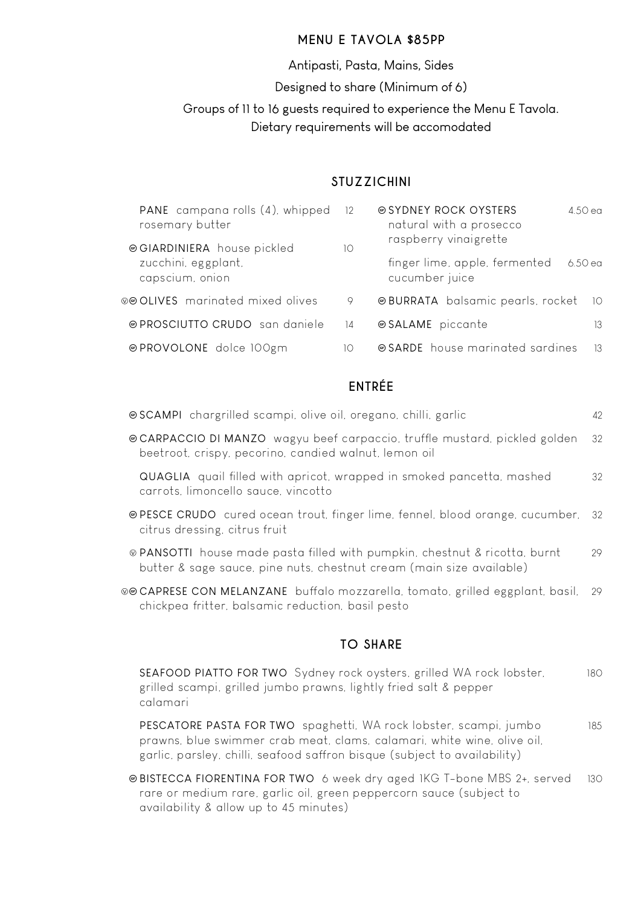### **MENU E TAVOLA \$85PP**

Antipasti, Pasta, Mains, Sides

Designed to share (Minimum of 6)

Groups of 11 to 16 guests required to experience the Menu E Tavola.

Dietary requirements will be accomodated

## **STUZZICHINI**

| PANE campana rolls (4), whipped<br>rosemary butter | 12 | natural with a prosecco                                                             | 4.50 ea      |  |
|----------------------------------------------------|----|-------------------------------------------------------------------------------------|--------------|--|
| zucchini, eggplant,<br>capscium, onion             |    | raspberry vinaigrette<br>finger lime, apple, fermented<br>6.50 ea<br>cucumber juice |              |  |
| ⊗⊕ OLIVES marinated mixed olives                   | 9  | <b>@BURRATA</b> balsamic pearls, rocket                                             | $10^{\circ}$ |  |
| @ PROSCIUTTO CRUDO san daniele                     | 14 | ⊕ SALAME piccante                                                                   | 13           |  |
| ⊕PROVOLONE dolce 100gm                             | 10 | ● SARDE house marinated sardines                                                    | -13          |  |

# **ENTRÉE**

|                                                                                                                                                    | 42  |
|----------------------------------------------------------------------------------------------------------------------------------------------------|-----|
| © CARPACCIO DI MANZO wagyu beef carpaccio, truffle mustard, pickled golden<br>beetroot, crispy, pecorino, candied walnut, lemon oil                | 32  |
| <b>QUAGLIA</b> quail filled with apricot, wrapped in smoked pancetta, mashed<br>carrots, limoncello sauce, vincotto                                | 32  |
| ⊕ PESCE CRUDO cured ocean trout, finger lime, fennel, blood orange, cucumber,<br>citrus dressing, citrus fruit                                     | -32 |
| ⊗ PANSOTTI house made pasta filled with pumpkin, chestnut & ricotta, burnt<br>butter & sage sauce, pine nuts, chestnut cream (main size available) | 29  |
| ⊗⊕CAPRESE CON MELANZANE buffalo mozzarella, tomato, grilled eggplant, basil,<br>chickpea fritter, balsamic reduction, basil pesto                  | 29  |
|                                                                                                                                                    |     |

## **TO SHARE**

SEAFOOD PIATTO FOR TWO Sydney rock oysters, grilled WA rock lobster, 180 grilled scampi, grilled jumbo prawns, lightly fried salt & pepper calamari

PESCATORE PASTA FOR TWO spaghetti, WA rock lobster, scampi, jumbo 185 prawns, blue swimmer crab meat, clams, calamari, white wine, olive oil, garlic, parsley, chilli, seafood saffron bisque (subject to availability)

Ô BISTECCA FIORENTINA FOR TWO 6 week dry aged 1KG T-bone MBS 2+, served 130 rare or medium rare, garlic oil, green peppercorn sauce (subject to availability & allow up to 45 minutes)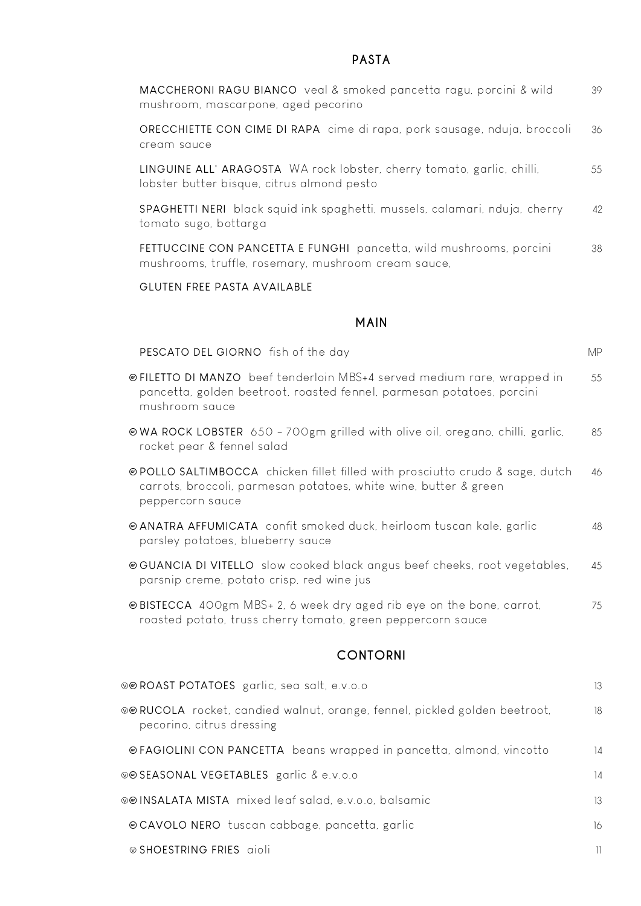## **PASTA**

| MACCHERONI RAGU BIANCO veal & smoked pancetta ragu, porcini & wild<br>mushroom, mascarpone, aged pecorino                                                             | 39  |
|-----------------------------------------------------------------------------------------------------------------------------------------------------------------------|-----|
| ORECCHIETTE CON CIME DI RAPA cime di rapa, pork sausage, nduja, broccoli<br>cream sauce                                                                               | 36  |
| LINGUINE ALL' ARAGOSTA WA rock lobster, cherry tomato, garlic, chilli,<br>lobster butter bisque, citrus almond pesto                                                  | 55  |
| SPAGHETTI NERI black squid ink spaghetti, mussels, calamari, nduja, cherry<br>tomato sugo, bottarga                                                                   | 42  |
| FETTUCCINE CON PANCETTA E FUNGHI pancetta, wild mushrooms, porcini<br>mushrooms, truffle, rosemary, mushroom cream sauce,                                             | 38  |
| GLUTEN FREE PASTA AVAILABLE                                                                                                                                           |     |
| <b>MAIN</b>                                                                                                                                                           |     |
| PESCATO DEL GIORNO fish of the day                                                                                                                                    | MP. |
| ⊕FILETTO DI MANZO beef tenderloin MBS+4 served medium rare, wrapped in<br>pancetta, golden beetroot, roasted fennel, parmesan potatoes, porcini<br>mushroom sauce     | 55  |
| @WA ROCK LOBSTER 650 - 700gm grilled with olive oil, oregano, chilli, garlic,<br>rocket pear & fennel salad                                                           | 85  |
| @ POLLO SALTIMBOCCA chicken fillet filled with prosciutto crudo & sage, dutch<br>carrots, broccoli, parmesan potatoes, white wine, butter & green<br>peppercorn sauce | 46  |
| @ ANATRA AFFUMICATA confit smoked duck, heirloom tuscan kale, garlic<br>parsley potatoes, blueberry sauce                                                             | 48  |
| @GUANCIA DI VITELLO slow cooked black angus beef cheeks, root vegetables,<br>parsnip creme, potato crisp, red wine jus                                                | 45  |
| @BISTECCA 400gm MBS+ 2, 6 week dry aged rib eye on the bone, carrot,<br>roasted potato, truss cherry tomato, green peppercorn sauce                                   | 75  |
| <b>CONTORNI</b>                                                                                                                                                       |     |
| ®® ROAST POTATOES garlic, sea salt, e.v.o.o                                                                                                                           | 13  |
| ⊗⊕ RUCOLA rocket, candied walnut, orange, fennel, pickled golden beetroot,<br>pecorino, citrus dressing                                                               | 18  |
| @FAGIOLINI CON PANCETTA beans wrapped in pancetta, almond, vincotto                                                                                                   | 14  |

ÅÔ SEASONAL VEGETABLES garlic & e.v.o.o 14

ÅÔ INSALATA MISTA mixed leaf salad, e.v.o.o, balsamic 13

Ô CAVOLO NERO tuscan cabbage, pancetta, garlic 16

Å SHOESTRING FRIES aioli 11